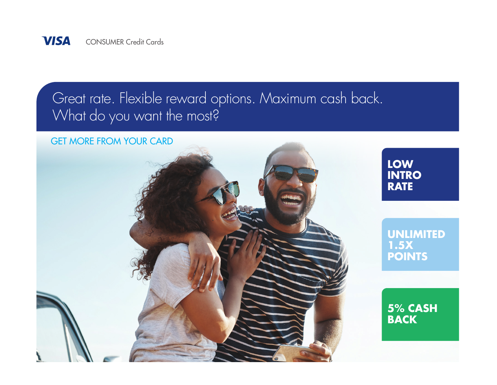

## Great rate. Flexible reward options. Maximum cash back. What do you want the most?

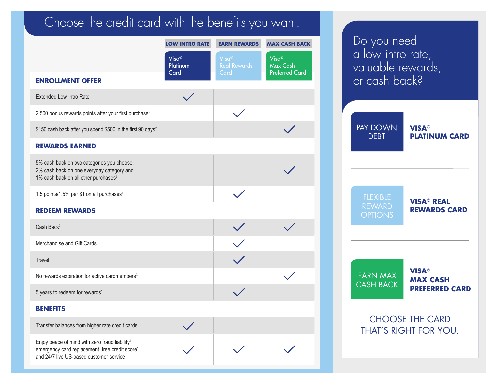## Choose the credit card with the benefits you want.

|                                                                                                                                                                       | <b>LOW INTRO RATE</b>        | <b>EARN REWARDS</b>                  | <b>MAX CASH BACK</b>                       |
|-----------------------------------------------------------------------------------------------------------------------------------------------------------------------|------------------------------|--------------------------------------|--------------------------------------------|
|                                                                                                                                                                       | $Visa^@$<br>Platinum<br>Card | Visa®<br><b>Real Rewards</b><br>Card | Visa®<br>Max Cash<br><b>Preferred Card</b> |
| <b>ENROLLMENT OFFER</b>                                                                                                                                               |                              |                                      |                                            |
| <b>Extended Low Intro Rate</b>                                                                                                                                        |                              |                                      |                                            |
| 2,500 bonus rewards points after your first purchase <sup>2</sup>                                                                                                     |                              |                                      |                                            |
| \$150 cash back after you spend \$500 in the first 90 days <sup>2</sup>                                                                                               |                              |                                      |                                            |
| <b>REWARDS EARNED</b>                                                                                                                                                 |                              |                                      |                                            |
| 5% cash back on two categories you choose,<br>2% cash back on one everyday category and<br>1% cash back on all other purchases <sup>3</sup>                           |                              |                                      |                                            |
| 1.5 points/1.5% per \$1 on all purchases <sup>1</sup>                                                                                                                 |                              |                                      |                                            |
| <b>REDEEM REWARDS</b>                                                                                                                                                 |                              |                                      |                                            |
| Cash Back <sup>2</sup>                                                                                                                                                |                              |                                      |                                            |
| Merchandise and Gift Cards                                                                                                                                            |                              |                                      |                                            |
| Travel                                                                                                                                                                |                              |                                      |                                            |
| No rewards expiration for active cardmembers <sup>3</sup>                                                                                                             |                              |                                      |                                            |
| 5 years to redeem for rewards <sup>1</sup>                                                                                                                            |                              |                                      |                                            |
| <b>BENEFITS</b>                                                                                                                                                       |                              |                                      |                                            |
| Transfer balances from higher rate credit cards                                                                                                                       |                              |                                      |                                            |
| Enjoy peace of mind with zero fraud liability <sup>4</sup> ,<br>emergency card replacement, free credit score <sup>5</sup><br>and 24/7 live US-based customer service |                              |                                      |                                            |

Do you need a low intro rate, valuable rewards, or cash back? CHOOSE THE CARD THAT'S RIGHT FOR YOU. FLEXIBLE REWARD **OPTIONS VISA® PLATINUM CARD** PAY DOWN DEBT **VISA® MAX CASH PREFERRED CARD** EARN MAX CASH BACK **VISA® REAL REWARDS CARD**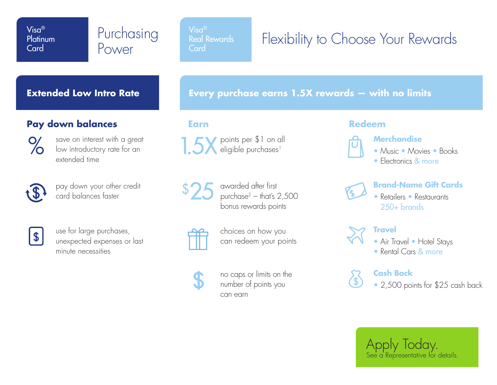**Platinum Card** 

# Purchasing

Visa® Real Rewards **Card** 

## Visa®<br>Platinum Purchasing <sup>Visa®</sup><br>Card Card Card Card Card Card Card Rewards Power

#### **Extended Low Intro Rate**

#### **Pay down balances**



save on interest with a great low introductory rate for an extended time



pay down your other credit card balances faster



use for large purchases, unexpected expenses or last minute necessities

**Every purchase earns 1.5X rewards — with no limits**

**Earn**

1.5X points per \$1 on all eligible purchases<sup>1</sup>



awarded after first purchase $2 -$  that's  $2,500$ bonus rewards points

choices on how you can redeem your points

no caps or limits on the number of points you can earn

#### **Redeem**



#### **Merchandise**

- Music Movies Books
- Electronics & more



#### **Brand-Name Gift Cards**

• Retailers • Restaurants 250+ brands



#### **Travel**

• Air Travel • Hotel Stays

See a Representative for details.

Apply Today.

• Rental Cars & more

#### **Cash Back**

• 2,500 points for \$25 cash back